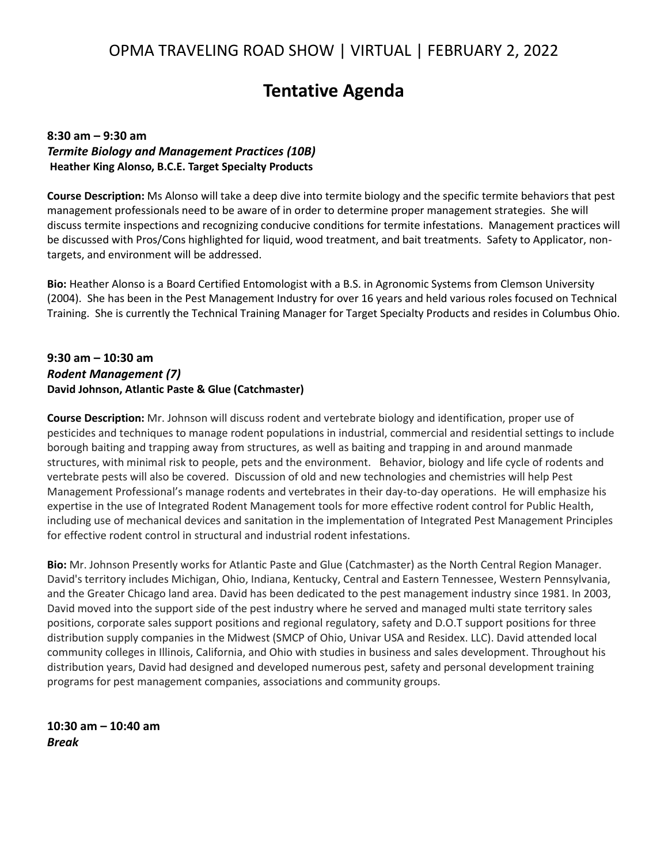# **Tentative Agenda**

## **8:30 am – 9:30 am** *Termite Biology and Management Practices (10B)* **Heather King Alonso, B.C.E. Target Specialty Products**

**Course Description:** Ms Alonso will take a deep dive into termite biology and the specific termite behaviors that pest management professionals need to be aware of in order to determine proper management strategies. She will discuss termite inspections and recognizing conducive conditions for termite infestations. Management practices will be discussed with Pros/Cons highlighted for liquid, wood treatment, and bait treatments. Safety to Applicator, nontargets, and environment will be addressed.

**Bio:** Heather Alonso is a Board Certified Entomologist with a B.S. in Agronomic Systems from Clemson University (2004). She has been in the Pest Management Industry for over 16 years and held various roles focused on Technical Training. She is currently the Technical Training Manager for Target Specialty Products and resides in Columbus Ohio.

## **9:30 am – 10:30 am** *Rodent Management (7)* **David Johnson, Atlantic Paste & Glue (Catchmaster)**

**Course Description:** Mr. Johnson will discuss rodent and vertebrate biology and identification, proper use of pesticides and techniques to manage rodent populations in industrial, commercial and residential settings to include borough baiting and trapping away from structures, as well as baiting and trapping in and around manmade structures, with minimal risk to people, pets and the environment. Behavior, biology and life cycle of rodents and vertebrate pests will also be covered. Discussion of old and new technologies and chemistries will help Pest Management Professional's manage rodents and vertebrates in their day-to-day operations. He will emphasize his expertise in the use of Integrated Rodent Management tools for more effective rodent control for Public Health, including use of mechanical devices and sanitation in the implementation of Integrated Pest Management Principles for effective rodent control in structural and industrial rodent infestations.

**Bio:** Mr. Johnson Presently works for Atlantic Paste and Glue (Catchmaster) as the North Central Region Manager. David's territory includes Michigan, Ohio, Indiana, Kentucky, Central and Eastern Tennessee, Western Pennsylvania, and the Greater Chicago land area. David has been dedicated to the pest management industry since 1981. In 2003, David moved into the support side of the pest industry where he served and managed multi state territory sales positions, corporate sales support positions and regional regulatory, safety and D.O.T support positions for three distribution supply companies in the Midwest (SMCP of Ohio, Univar USA and Residex. LLC). David attended local community colleges in Illinois, California, and Ohio with studies in business and sales development. Throughout his distribution years, David had designed and developed numerous pest, safety and personal development training programs for pest management companies, associations and community groups.

**10:30 am – 10:40 am** *Break*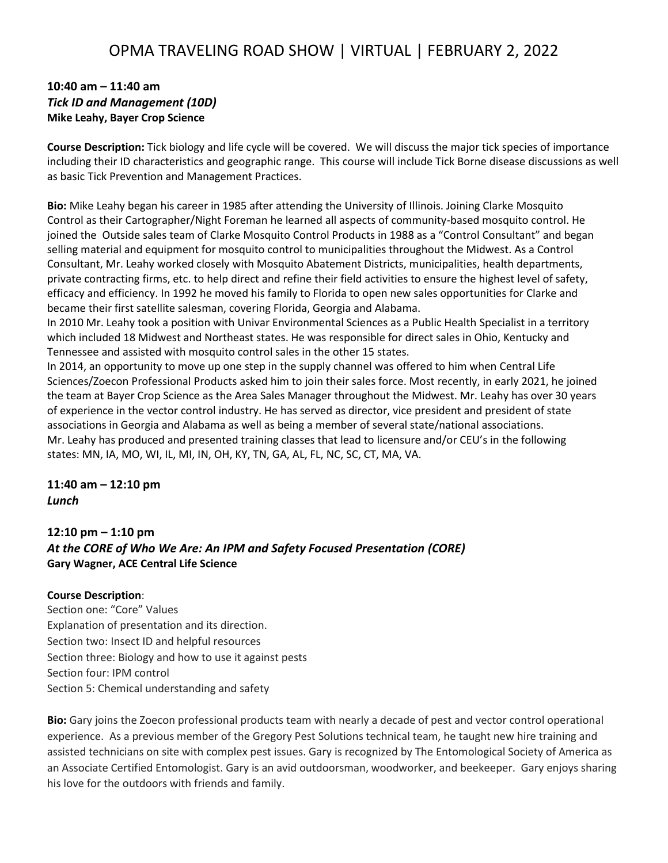# OPMA TRAVELING ROAD SHOW | VIRTUAL | FEBRUARY 2, 2022

## **10:40 am – 11:40 am** *Tick ID and Management (10D)* **Mike Leahy, Bayer Crop Science**

**Course Description:** Tick biology and life cycle will be covered. We will discuss the major tick species of importance including their ID characteristics and geographic range. This course will include Tick Borne disease discussions as well as basic Tick Prevention and Management Practices.

**Bio:** Mike Leahy began his career in 1985 after attending the University of Illinois. Joining Clarke Mosquito Control as their Cartographer/Night Foreman he learned all aspects of community-based mosquito control. He joined the Outside sales team of Clarke Mosquito Control Products in 1988 as a "Control Consultant" and began selling material and equipment for mosquito control to municipalities throughout the Midwest. As a Control Consultant, Mr. Leahy worked closely with Mosquito Abatement Districts, municipalities, health departments, private contracting firms, etc. to help direct and refine their field activities to ensure the highest level of safety, efficacy and efficiency. In 1992 he moved his family to Florida to open new sales opportunities for Clarke and became their first satellite salesman, covering Florida, Georgia and Alabama.

In 2010 Mr. Leahy took a position with Univar Environmental Sciences as a Public Health Specialist in a territory which included 18 Midwest and Northeast states. He was responsible for direct sales in Ohio, Kentucky and Tennessee and assisted with mosquito control sales in the other 15 states.

In 2014, an opportunity to move up one step in the supply channel was offered to him when Central Life Sciences/Zoecon Professional Products asked him to join their sales force. Most recently, in early 2021, he joined the team at Bayer Crop Science as the Area Sales Manager throughout the Midwest. Mr. Leahy has over 30 years of experience in the vector control industry. He has served as director, vice president and president of state associations in Georgia and Alabama as well as being a member of several state/national associations. Mr. Leahy has produced and presented training classes that lead to licensure and/or CEU's in the following states: MN, IA, MO, WI, IL, MI, IN, OH, KY, TN, GA, AL, FL, NC, SC, CT, MA, VA.

**11:40 am – 12:10 pm** *Lunch*

## **12:10 pm – 1:10 pm** *At the CORE of Who We Are: An IPM and Safety Focused Presentation (CORE)* **Gary Wagner, ACE Central Life Science**

#### **Course Description**:

Section one: "Core" Values Explanation of presentation and its direction. Section two: Insect ID and helpful resources Section three: Biology and how to use it against pests Section four: IPM control Section 5: Chemical understanding and safety

**Bio:** Gary joins the Zoecon professional products team with nearly a decade of pest and vector control operational experience. As a previous member of the Gregory Pest Solutions technical team, he taught new hire training and assisted technicians on site with complex pest issues. Gary is recognized by The Entomological Society of America as an Associate Certified Entomologist. Gary is an avid outdoorsman, woodworker, and beekeeper. Gary enjoys sharing his love for the outdoors with friends and family.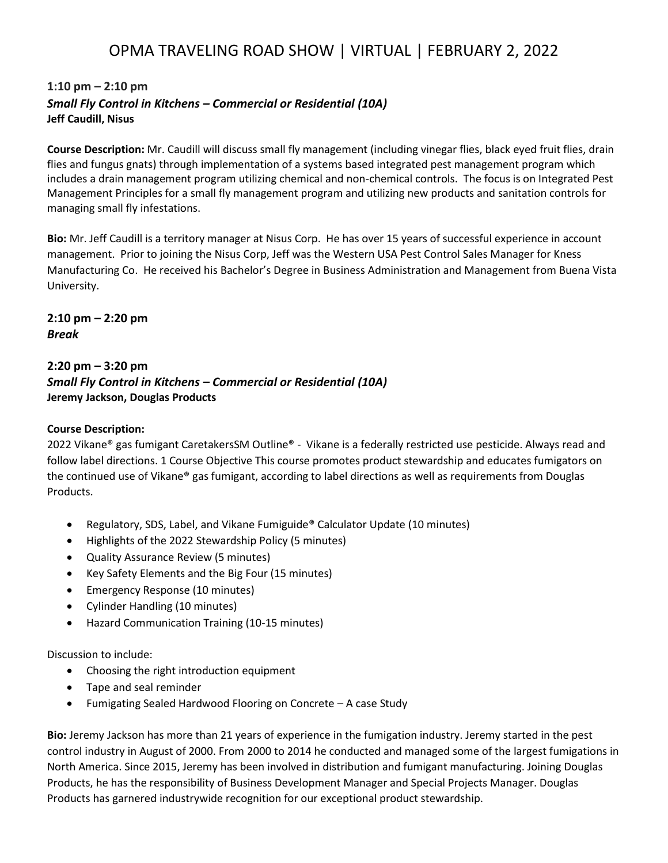# OPMA TRAVELING ROAD SHOW | VIRTUAL | FEBRUARY 2, 2022

# **1:10 pm – 2:10 pm** *Small Fly Control in Kitchens – Commercial or Residential (10A)* **Jeff Caudill, Nisus**

**Course Description:** Mr. Caudill will discuss small fly management (including vinegar flies, black eyed fruit flies, drain flies and fungus gnats) through implementation of a systems based integrated pest management program which includes a drain management program utilizing chemical and non-chemical controls. The focus is on Integrated Pest Management Principles for a small fly management program and utilizing new products and sanitation controls for managing small fly infestations.

**Bio:** Mr. Jeff Caudill is a territory manager at Nisus Corp. He has over 15 years of successful experience in account management. Prior to joining the Nisus Corp, Jeff was the Western USA Pest Control Sales Manager for Kness Manufacturing Co. He received his Bachelor's Degree in Business Administration and Management from Buena Vista University.

**2:10 pm – 2:20 pm** *Break*

## **2:20 pm – 3:20 pm** *Small Fly Control in Kitchens – Commercial or Residential (10A)* **Jeremy Jackson, Douglas Products**

### **Course Description:**

2022 Vikane® gas fumigant CaretakersSM Outline® - Vikane is a federally restricted use pesticide. Always read and follow label directions. 1 Course Objective This course promotes product stewardship and educates fumigators on the continued use of Vikane® gas fumigant, according to label directions as well as requirements from Douglas Products.

- Regulatory, SDS, Label, and Vikane Fumiguide® Calculator Update (10 minutes)
- Highlights of the 2022 Stewardship Policy (5 minutes)
- Quality Assurance Review (5 minutes)
- Key Safety Elements and the Big Four (15 minutes)
- Emergency Response (10 minutes)
- Cylinder Handling (10 minutes)
- Hazard Communication Training (10-15 minutes)

### Discussion to include:

- Choosing the right introduction equipment
- Tape and seal reminder
- Fumigating Sealed Hardwood Flooring on Concrete A case Study

**Bio:** Jeremy Jackson has more than 21 years of experience in the fumigation industry. Jeremy started in the pest control industry in August of 2000. From 2000 to 2014 he conducted and managed some of the largest fumigations in North America. Since 2015, Jeremy has been involved in distribution and fumigant manufacturing. Joining Douglas Products, he has the responsibility of Business Development Manager and Special Projects Manager. Douglas Products has garnered industrywide recognition for our exceptional product stewardship.